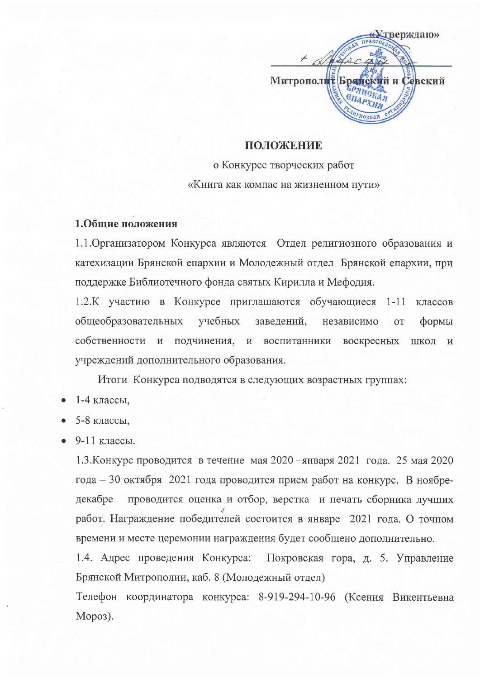

# ПОЛОЖЕНИЕ

о Конкурсе творческих работ «Книга как компас на жизненном пути»

## 1.Общие положения

1.1. Организатором Конкурса являются Отдел религиозного образования и катехизации Брянской епархии и Молодежный отдел Брянской епархии, при поддержке Библиотечного фонда святых Кирилла и Мефодия.

1.2.К участию в Конкурсе приглашаются обучающиеся  $1-11$  классов общеобразовательных учебных заведений, независимо **OT** формы собственности и воскресных подчинения, и воспитанники ШКОЛ  $\mathbf H$ учреждений дополнительного образования.

Итоги Конкурса подводятся в следующих возрастных группах:

- 1-4 классы,
- 5-8 классы.
- 9-11 классы.

1.3. Конкурс проводится в течение мая 2020 - января 2021 года. 25 мая 2020 года – 30 октября 2021 года проводится прием работ на конкурс. В ноябрелекабре проводится оценка и отбор, верстка и печать сборника лучших работ. Награждение победителей состоится в январе 2021 года. О точном времени и месте церемонии награждения будет сообщено дополнительно.

1.4. Адрес проведения Конкурса: Покровская гора, д. 5. Управление Брянской Митрополии, каб. 8 (Молодежный отдел)

Телефон координатора конкурса: 8-919-294-10-96 (Ксения Викентьевна Мороз).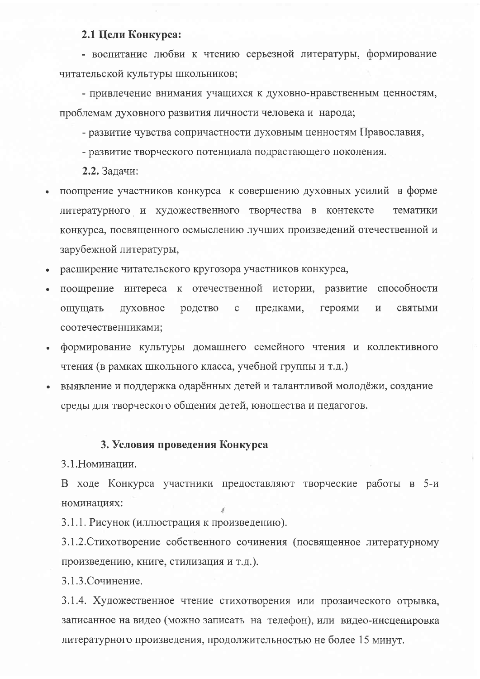## 2.1 Цели Конкурса:

- воспитание любви к чтению серьезной литературы, формирование читательской культуры школьников;

- привлечение внимания учащихся к духовно-нравственным ценностям. проблемам духовного развития личности человека и народа;

- развитие чувства сопричастности духовным ценностям Православия,

- развитие творческого потенциала подрастающего поколения.

2.2. Задачи:

- поощрение участников конкурса к совершению духовных усилий в форме литературного и художественного творчества в контексте тематики конкурса, посвященного осмыслению лучших произведений отечественной и зарубежной литературы,
- расширение читательского кругозора участников конкурса,
- поощрение интереса к отечественной истории, развитие способности родство предками.  $\mathbf{C}$ героями ощущать духовное  $\mathbf{M}$ святыми соотечественниками;
- формирование культуры домашнего семейного чтения и коллективного чтения (в рамках школьного класса, учебной группы и т.д.)
- выявление и поддержка одарённых детей и талантливой молодёжи, создание среды для творческого общения детей, юношества и педагогов.

#### 3. Условия проведения Конкурса

3.1. Номинации.

В ходе Конкурса участники предоставляют творческие работы в 5-и номинациях:

3.1.1. Рисунок (иллюстрация к произведению).

3.1.2. Стихотворение собственного сочинения (посвященное литературному произведению, книге, стилизация и т.д.).

3.1.3. Сочинение.

3.1.4. Художественное чтение стихотворения или прозаического отрывка, записанное на видео (можно записать на телефон), или видео-инсценировка литературного произведения, продолжительностью не более 15 минут.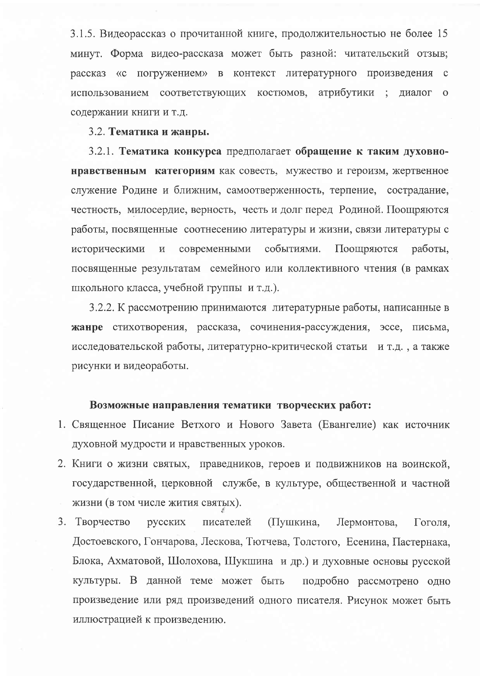3.1.5. Видеорассказ о прочитанной книге, продолжительностью не более 15 минут. Форма видео-рассказа может быть разной: читательский отзыв; рассказ «с погружением» в контекст литературного произведения с использованием соответствующих костюмов, атрибутики ; диалог о содержании книги и т.д.

#### 3.2. Тематика и жанры.

3.2.1. Тематика конкурса предполагает обращение к таким духовнонравственным категориям как совесть, мужество и героизм, жертвенное служение Родине и ближним, самоотверженность, терпение, сострадание, честность, милосердие, верность, честь и долг перед Родиной. Поощряются работы, посвященные соотнесению литературы и жизни, связи литературы с событиями. современными Поощряются работы. историческими  $\,$  M посвященные результатам семейного или коллективного чтения (в рамках школьного класса, учебной группы и т.д.).

3.2.2. К рассмотрению принимаются литературные работы, написанные в жанре стихотворения, рассказа, сочинения-рассуждения, эссе, письма, исследовательской работы, литературно-критической статьи и т.д., а также рисунки и видеоработы.

#### Возможные направления тематики творческих работ:

- 1. Священное Писание Ветхого и Нового Завета (Евангелие) как источник духовной мудрости и нравственных уроков.
- 2. Книги о жизни святых, праведников, героев и подвижников на воинской, государственной, церковной службе, в культуре, общественной и частной жизни (в том числе жития святых).
- (Пушкина, 3. Творчество писателей русских Лермонтова, Гоголя, Достоевского, Гончарова, Лескова, Тютчева, Толстого, Есенина, Пастернака, Блока, Ахматовой, Шолохова, Шукшина и др.) и духовные основы русской культуры. В данной теме может быть подробно рассмотрено одно произведение или ряд произведений одного писателя. Рисунок может быть иллюстрацией к произведению.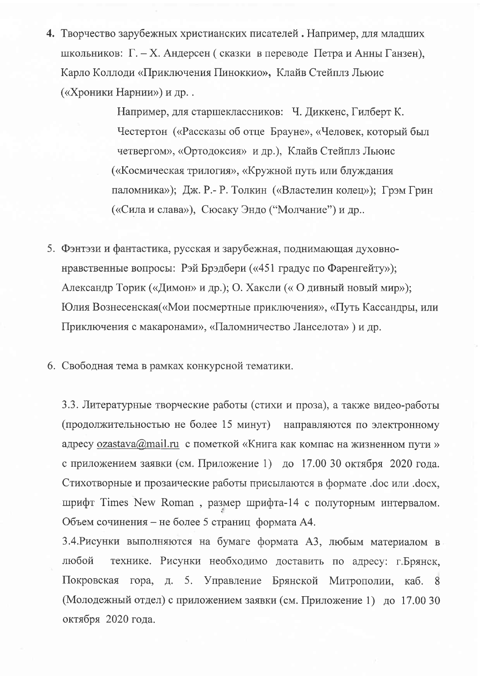4. Творчество зарубежных христианских писателей. Например, для младших школьников: Г. – Х. Андерсен (сказки в переводе Петра и Анны Ганзен), Карло Коллоди «Приключения Пиноккио», Клайв Стейплз Льюис («Хроники Нарнии») и др. .

> Например, для старшеклассников: Ч. Диккенс, Гилберт К. Честертон («Рассказы об отце Брауне», «Человек, который был четвергом», «Ортодоксия» и др.), Клайв Стейплз Льюис («Космическая трилогия», «Кружной путь или блуждания паломника»); Дж. Р.- Р. Толкин («Властелин колец»); Грэм Грин («Сила и слава»), Сюсаку Эндо ("Молчание") и др..

- 5. Фэнтэзи и фантастика, русская и зарубежная, поднимающая духовнонравственные вопросы: Рэй Брэдбери («451 градус по Фаренгейту»); Александр Торик («Димон» и др.); О. Хаксли («О дивный новый мир»); Юлия Вознесенская («Мои посмертные приключения», «Путь Кассандры, или Приключения с макаронами», «Паломничество Ланселота») и др.
- 6. Свободная тема в рамках конкурсной тематики.

3.3. Литературные творческие работы (стихи и проза), а также видео-работы (продолжительностью не более 15 минут) направляются по электронному адресу  $ozastava@mail.ru$  с пометкой «Книга как компас на жизненном пути» с приложением заявки (см. Приложение 1) до 17.00 30 октября 2020 года. Стихотворные и прозаические работы присылаются в формате .doc или .docx, шрифт Times New Roman, размер шрифта-14 с полуторным интервалом. Объем сочинения – не более 5 страниц формата А4.

3.4. Рисунки выполняются на бумаге формата А3, любым материалом в любой технике. Рисунки необходимо доставить по адресу: г.Брянск, Покровская гора, д. 5. Управление Брянской Митрополии, каб. 8 (Молодежный отдел) с приложением заявки (см. Приложение 1) до 17.00 30 октября 2020 года.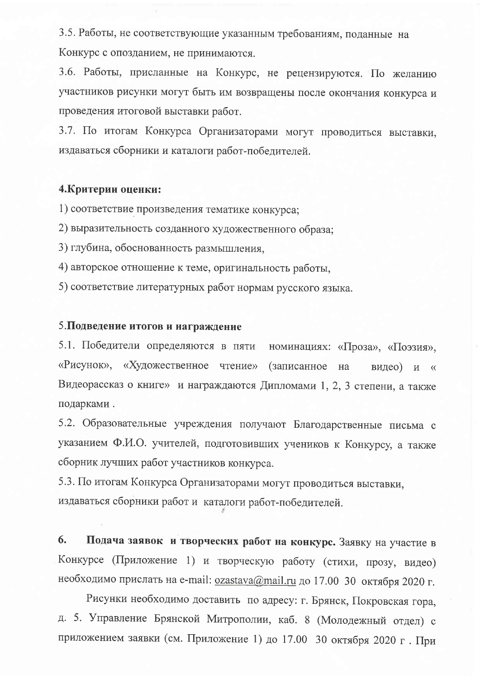3.5. Работы, не соответствующие указанным требованиям, поданные на Конкурс с опозданием, не принимаются.

3.6. Работы, присланные на Конкурс, не рецензируются. По желанию участников рисунки могут быть им возвращены после окончания конкурса и проведения итоговой выставки работ.

3.7. По итогам Конкурса Организаторами могут проводиться выставки, издаваться сборники и каталоги работ-победителей.

## 4. Критерии оценки:

1) соответствие произведения тематике конкурса;

2) выразительность созданного художественного образа;

3) глубина, обоснованность размышления,

4) авторское отношение к теме, оригинальность работы,

5) соответствие литературных работ нормам русского языка.

## 5. Подведение итогов и награждение

5.1. Победители определяются в пяти номинациях: «Проза», «Поэзия», «Рисунок», «Художественное чтение» (записанное на видео) и « Видеорассказ о книге» и награждаются Дипломами 1, 2, 3 степени, а также подарками.

5.2. Образовательные учреждения получают Благодарственные письма с указанием Ф.И.О. учителей, подготовивших учеников к Конкурсу, а также сборник лучших работ участников конкурса.

5.3. По итогам Конкурса Организаторами могут проводиться выставки, издаваться сборники работ и каталоги работ-победителей.

Подача заявок и творческих работ на конкурс. Заявку на участие в 6. Конкурсе (Приложение 1) и творческую работу (стихи, прозу, видео) необходимо прислать на e-mail:  $ozastava@mail.ru$  до 17.00 30 октября 2020 г.

Рисунки необходимо доставить по адресу: г. Брянск, Покровская гора, д. 5. Управление Брянской Митрополии, каб. 8 (Молодежный отдел) с приложением заявки (см. Приложение 1) до 17.00 30 октября 2020 г. При